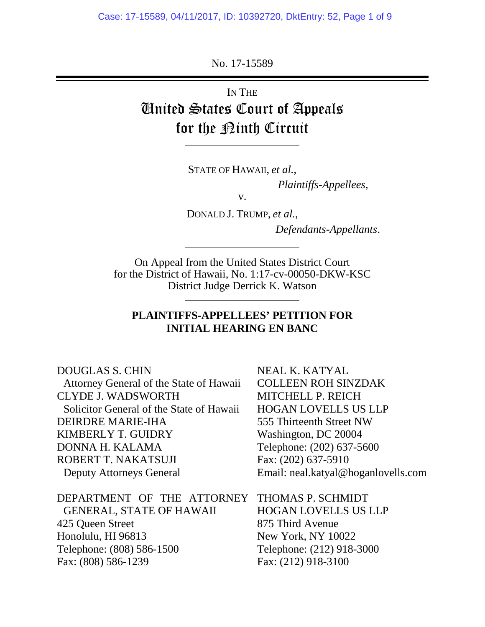No. 17-15589

# IN THE United States Court of Appeals for the <u>Pinth</u> Circuit

STATE OF HAWAII, *et al.*,

*Plaintiffs-Appellees*,

v.

DONALD J. TRUMP, *et al.*,

*Defendants-Appellants*.

On Appeal from the United States District Court for the District of Hawaii, No. 1:17-cv-00050-DKW-KSC District Judge Derrick K. Watson

### **PLAINTIFFS-APPELLEES' PETITION FOR INITIAL HEARING EN BANC**

DOUGLAS S. CHIN Attorney General of the State of Hawaii CLYDE J. WADSWORTH Solicitor General of the State of Hawaii DEIRDRE MARIE-IHA KIMBERLY T. GUIDRY DONNA H. KALAMA ROBERT T. NAKATSUJI Deputy Attorneys General NEAL K. KATYAL COLLEEN ROH SINZDAK MITCHELL P. REICH HOGAN LOVELLS US LLP 555 Thirteenth Street NW Washington, DC 20004 Telephone: (202) 637-5600 Fax: (202) 637-5910 Email: neal.katyal@hoganlovells.com

DEPARTMENT OF THE ATTORNEY GENERAL, STATE OF HAWAII 425 Queen Street Honolulu, HI 96813 Telephone: (808) 586-1500 Fax: (808) 586-1239

THOMAS P. SCHMIDT HOGAN LOVELLS US LLP 875 Third Avenue New York, NY 10022 Telephone: (212) 918-3000

Fax: (212) 918-3100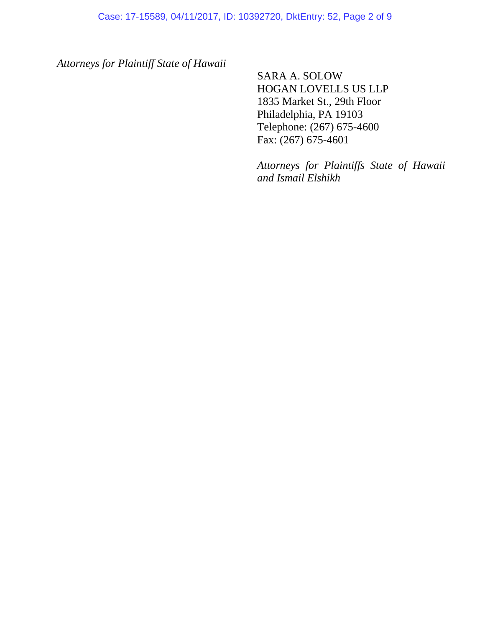*Attorneys for Plaintiff State of Hawaii*

SARA A. SOLOW HOGAN LOVELLS US LLP 1835 Market St., 29th Floor Philadelphia, PA 19103 Telephone: (267) 675-4600 Fax: (267) 675-4601

*Attorneys for Plaintiffs State of Hawaii and Ismail Elshikh*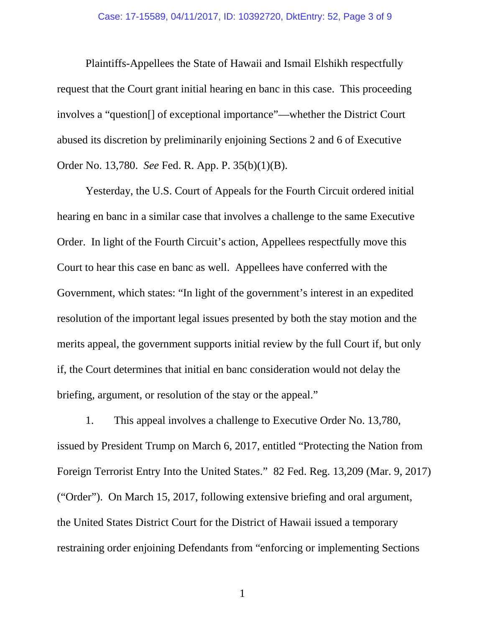### Case: 17-15589, 04/11/2017, ID: 10392720, DktEntry: 52, Page 3 of 9

Plaintiffs-Appellees the State of Hawaii and Ismail Elshikh respectfully request that the Court grant initial hearing en banc in this case. This proceeding involves a "question[] of exceptional importance"—whether the District Court abused its discretion by preliminarily enjoining Sections 2 and 6 of Executive Order No. 13,780. *See* Fed. R. App. P. 35(b)(1)(B).

Yesterday, the U.S. Court of Appeals for the Fourth Circuit ordered initial hearing en banc in a similar case that involves a challenge to the same Executive Order. In light of the Fourth Circuit's action, Appellees respectfully move this Court to hear this case en banc as well. Appellees have conferred with the Government, which states: "In light of the government's interest in an expedited resolution of the important legal issues presented by both the stay motion and the merits appeal, the government supports initial review by the full Court if, but only if, the Court determines that initial en banc consideration would not delay the briefing, argument, or resolution of the stay or the appeal."

1. This appeal involves a challenge to Executive Order No. 13,780, issued by President Trump on March 6, 2017, entitled "Protecting the Nation from Foreign Terrorist Entry Into the United States." 82 Fed. Reg. 13,209 (Mar. 9, 2017) ("Order"). On March 15, 2017, following extensive briefing and oral argument, the United States District Court for the District of Hawaii issued a temporary restraining order enjoining Defendants from "enforcing or implementing Sections

1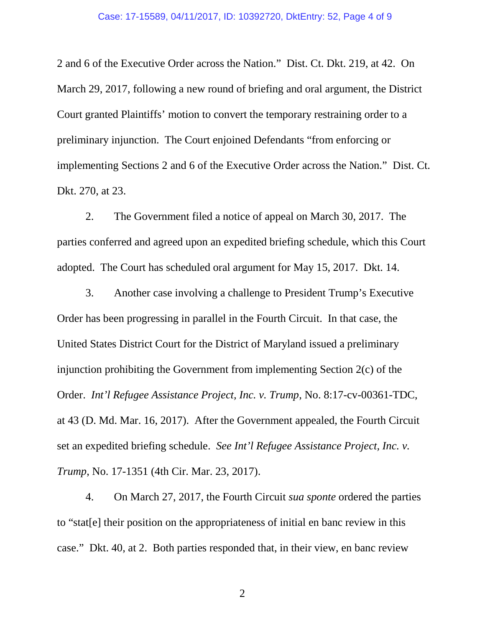#### Case: 17-15589, 04/11/2017, ID: 10392720, DktEntry: 52, Page 4 of 9

2 and 6 of the Executive Order across the Nation." Dist. Ct. Dkt. 219, at 42. On March 29, 2017, following a new round of briefing and oral argument, the District Court granted Plaintiffs' motion to convert the temporary restraining order to a preliminary injunction. The Court enjoined Defendants "from enforcing or implementing Sections 2 and 6 of the Executive Order across the Nation." Dist. Ct. Dkt. 270, at 23.

2. The Government filed a notice of appeal on March 30, 2017. The parties conferred and agreed upon an expedited briefing schedule, which this Court adopted. The Court has scheduled oral argument for May 15, 2017. Dkt. 14.

3. Another case involving a challenge to President Trump's Executive Order has been progressing in parallel in the Fourth Circuit. In that case, the United States District Court for the District of Maryland issued a preliminary injunction prohibiting the Government from implementing Section 2(c) of the Order. *Int'l Refugee Assistance Project, Inc. v. Trump*, No. 8:17-cv-00361-TDC, at 43 (D. Md. Mar. 16, 2017). After the Government appealed, the Fourth Circuit set an expedited briefing schedule. *See Int'l Refugee Assistance Project, Inc. v. Trump*, No. 17-1351 (4th Cir. Mar. 23, 2017).

4. On March 27, 2017, the Fourth Circuit *sua sponte* ordered the parties to "stat[e] their position on the appropriateness of initial en banc review in this case." Dkt. 40, at 2. Both parties responded that, in their view, en banc review

2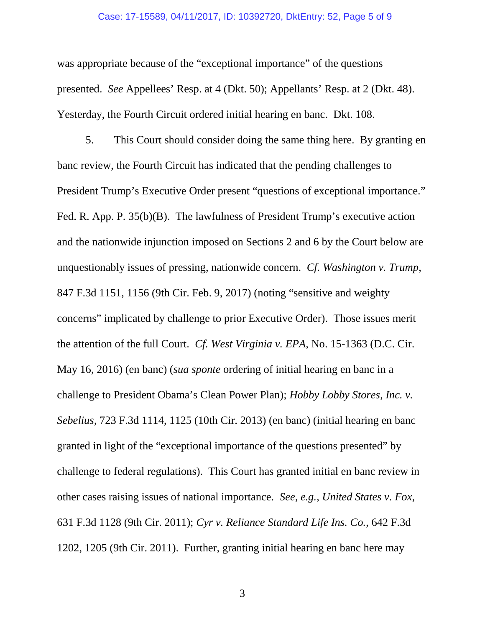### Case: 17-15589, 04/11/2017, ID: 10392720, DktEntry: 52, Page 5 of 9

was appropriate because of the "exceptional importance" of the questions presented. *See* Appellees' Resp. at 4 (Dkt. 50); Appellants' Resp. at 2 (Dkt. 48). Yesterday, the Fourth Circuit ordered initial hearing en banc. Dkt. 108.

5. This Court should consider doing the same thing here. By granting en banc review, the Fourth Circuit has indicated that the pending challenges to President Trump's Executive Order present "questions of exceptional importance." Fed. R. App. P. 35(b)(B). The lawfulness of President Trump's executive action and the nationwide injunction imposed on Sections 2 and 6 by the Court below are unquestionably issues of pressing, nationwide concern. *Cf. Washington v. Trump*, 847 F.3d 1151, 1156 (9th Cir. Feb. 9, 2017) (noting "sensitive and weighty concerns" implicated by challenge to prior Executive Order). Those issues merit the attention of the full Court. *Cf. West Virginia v. EPA*, No. 15-1363 (D.C. Cir. May 16, 2016) (en banc) (*sua sponte* ordering of initial hearing en banc in a challenge to President Obama's Clean Power Plan); *Hobby Lobby Stores, Inc. v. Sebelius*, 723 F.3d 1114, 1125 (10th Cir. 2013) (en banc) (initial hearing en banc granted in light of the "exceptional importance of the questions presented" by challenge to federal regulations). This Court has granted initial en banc review in other cases raising issues of national importance. *See, e.g.*, *United States v. Fox*, 631 F.3d 1128 (9th Cir. 2011); *Cyr v. Reliance Standard Life Ins. Co.*, 642 F.3d 1202, 1205 (9th Cir. 2011). Further, granting initial hearing en banc here may

3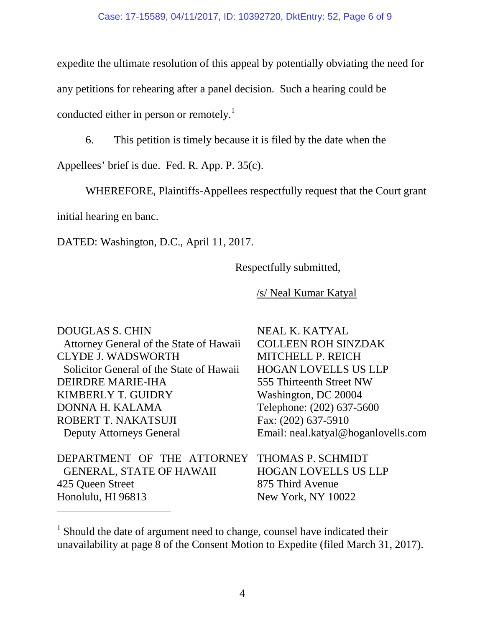expedite the ultimate resolution of this appeal by potentially obviating the need for any petitions for rehearing after a panel decision. Such a hearing could be conducted either in person or remotely.<sup>[1](#page-5-0)</sup>

6. This petition is timely because it is filed by the date when the

Appellees' brief is due. Fed. R. App. P. 35(c).

WHEREFORE, Plaintiffs-Appellees respectfully request that the Court grant

initial hearing en banc.

DATED: Washington, D.C., April 11, 2017.

Respectfully submitted,

/s/ Neal Kumar Katyal

DOUGLAS S. CHIN Attorney General of the State of Hawaii CLYDE J. WADSWORTH Solicitor General of the State of Hawaii DEIRDRE MARIE-IHA KIMBERLY T. GUIDRY DONNA H. KALAMA ROBERT T. NAKATSUJI Deputy Attorneys General

DEPARTMENT OF THE ATTORNEY THOMAS P. SCHMIDT GENERAL, STATE OF HAWAII 425 Queen Street Honolulu, HI 96813

NEAL K. KATYAL COLLEEN ROH SINZDAK MITCHELL P. REICH HOGAN LOVELLS US LLP 555 Thirteenth Street NW Washington, DC 20004 Telephone: (202) 637-5600 Fax: (202) 637-5910 Email: neal.katyal@hoganlovells.com

HOGAN LOVELLS US LLP 875 Third Avenue New York, NY 10022

<span id="page-5-0"></span><sup>&</sup>lt;sup>1</sup> Should the date of argument need to change, counsel have indicated their unavailability at page 8 of the Consent Motion to Expedite (filed March 31, 2017).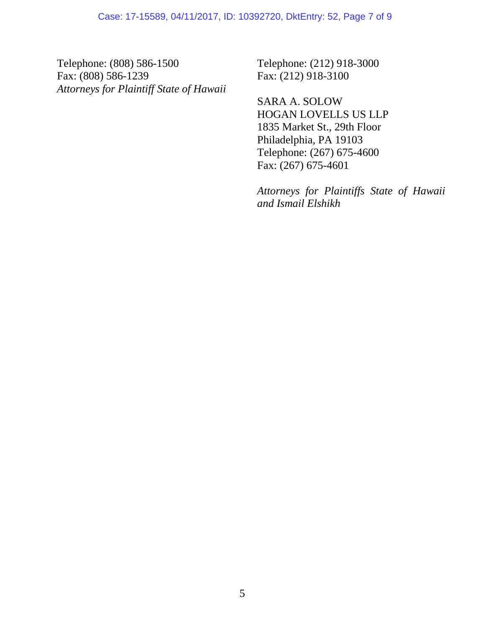Telephone: (808) 586-1500 Fax: (808) 586-1239 *Attorneys for Plaintiff State of Hawaii* Telephone: (212) 918-3000 Fax: (212) 918-3100

SARA A. SOLOW HOGAN LOVELLS US LLP 1835 Market St., 29th Floor Philadelphia, PA 19103 Telephone: (267) 675-4600 Fax: (267) 675-4601

*Attorneys for Plaintiffs State of Hawaii and Ismail Elshikh*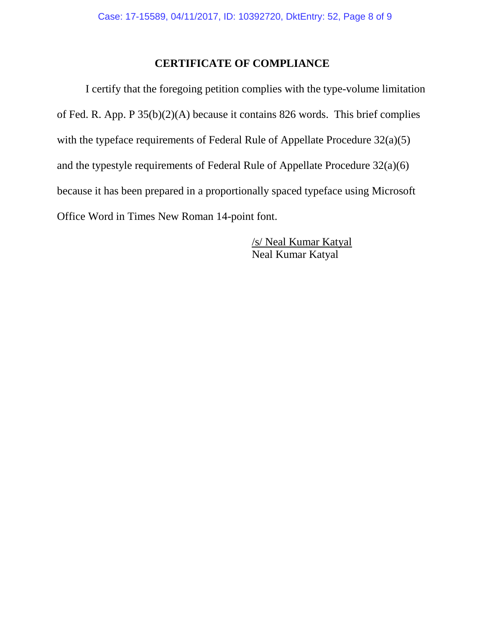## **CERTIFICATE OF COMPLIANCE**

I certify that the foregoing petition complies with the type-volume limitation of Fed. R. App. P 35(b)(2)(A) because it contains 826 words. This brief complies with the typeface requirements of Federal Rule of Appellate Procedure  $32(a)(5)$ and the typestyle requirements of Federal Rule of Appellate Procedure 32(a)(6) because it has been prepared in a proportionally spaced typeface using Microsoft Office Word in Times New Roman 14-point font.

> /s/ Neal Kumar Katyal Neal Kumar Katyal